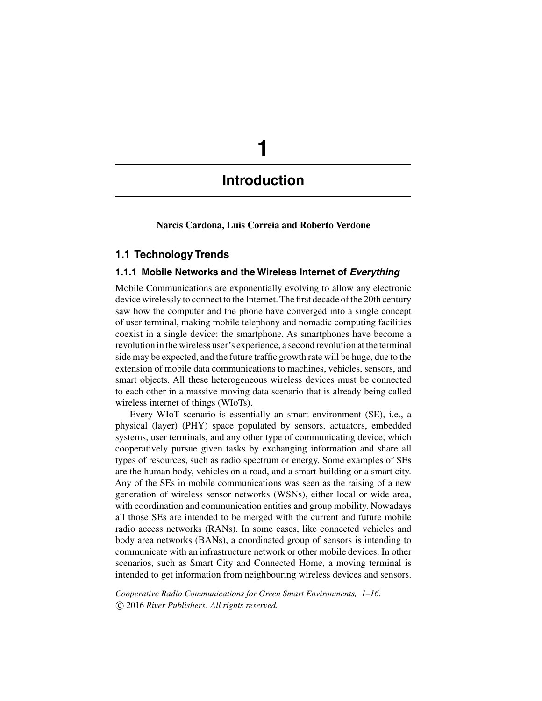**1**

**Narcis Cardona, Luis Correia and Roberto Verdone**

# **1.1 Technology Trends**

# **1.1.1 Mobile Networks and the Wireless Internet of** *Everything*

Mobile Communications are exponentially evolving to allow any electronic device wirelessly to connect to the Internet. The first decade of the 20th century saw how the computer and the phone have converged into a single concept of user terminal, making mobile telephony and nomadic computing facilities coexist in a single device: the smartphone. As smartphones have become a revolution in the wireless user's experience, a second revolution at the terminal side may be expected, and the future traffic growth rate will be huge, due to the extension of mobile data communications to machines, vehicles, sensors, and smart objects. All these heterogeneous wireless devices must be connected to each other in a massive moving data scenario that is already being called wireless internet of things (WIoTs).

Every WIoT scenario is essentially an smart environment (SE), i.e., a physical (layer) (PHY) space populated by sensors, actuators, embedded systems, user terminals, and any other type of communicating device, which cooperatively pursue given tasks by exchanging information and share all types of resources, such as radio spectrum or energy. Some examples of SEs are the human body, vehicles on a road, and a smart building or a smart city. Any of the SEs in mobile communications was seen as the raising of a new generation of wireless sensor networks (WSNs), either local or wide area, with coordination and communication entities and group mobility. Nowadays all those SEs are intended to be merged with the current and future mobile radio access networks (RANs). In some cases, like connected vehicles and body area networks (BANs), a coordinated group of sensors is intending to communicate with an infrastructure network or other mobile devices. In other scenarios, such as Smart City and Connected Home, a moving terminal is intended to get information from neighbouring wireless devices and sensors.

*Cooperative Radio Communications for Green Smart Environments, 1–16.* -c 2016 *River Publishers. All rights reserved.*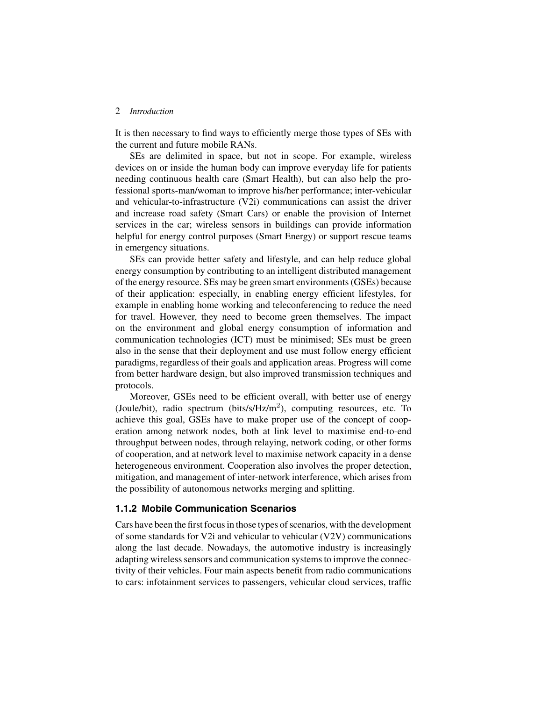It is then necessary to find ways to efficiently merge those types of SEs with the current and future mobile RANs.

SEs are delimited in space, but not in scope. For example, wireless devices on or inside the human body can improve everyday life for patients needing continuous health care (Smart Health), but can also help the professional sports-man/woman to improve his/her performance; inter-vehicular and vehicular-to-infrastructure (V2i) communications can assist the driver and increase road safety (Smart Cars) or enable the provision of Internet services in the car; wireless sensors in buildings can provide information helpful for energy control purposes (Smart Energy) or support rescue teams in emergency situations.

SEs can provide better safety and lifestyle, and can help reduce global energy consumption by contributing to an intelligent distributed management of the energy resource. SEs may be green smart environments (GSEs) because of their application: especially, in enabling energy efficient lifestyles, for example in enabling home working and teleconferencing to reduce the need for travel. However, they need to become green themselves. The impact on the environment and global energy consumption of information and communication technologies (ICT) must be minimised; SEs must be green also in the sense that their deployment and use must follow energy efficient paradigms, regardless of their goals and application areas. Progress will come from better hardware design, but also improved transmission techniques and protocols.

Moreover, GSEs need to be efficient overall, with better use of energy (Joule/bit), radio spectrum (bits/s/Hz/m<sup>2</sup>), computing resources, etc. To achieve this goal, GSEs have to make proper use of the concept of cooperation among network nodes, both at link level to maximise end-to-end throughput between nodes, through relaying, network coding, or other forms of cooperation, and at network level to maximise network capacity in a dense heterogeneous environment. Cooperation also involves the proper detection, mitigation, and management of inter-network interference, which arises from the possibility of autonomous networks merging and splitting.

### **1.1.2 Mobile Communication Scenarios**

Cars have been the first focus in those types of scenarios, with the development of some standards for V2i and vehicular to vehicular (V2V) communications along the last decade. Nowadays, the automotive industry is increasingly adapting wireless sensors and communication systems to improve the connectivity of their vehicles. Four main aspects benefit from radio communications to cars: infotainment services to passengers, vehicular cloud services, traffic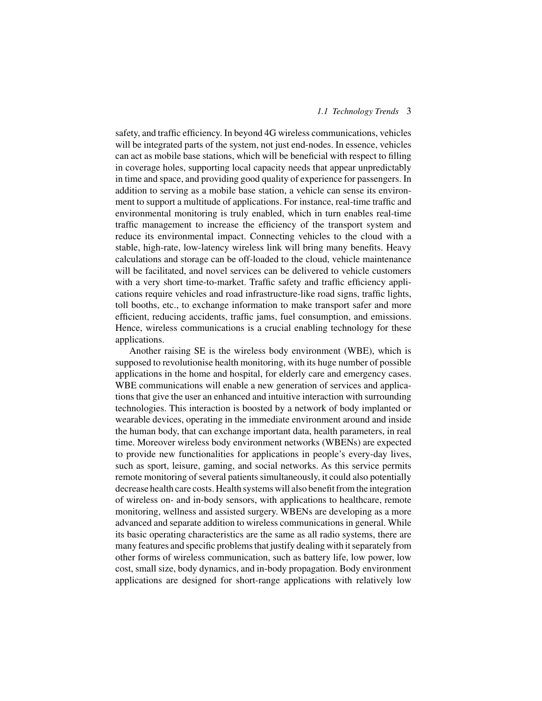#### *1.1 Technology Trends* 3

safety, and traffic efficiency. In beyond 4G wireless communications, vehicles will be integrated parts of the system, not just end-nodes. In essence, vehicles can act as mobile base stations, which will be beneficial with respect to filling in coverage holes, supporting local capacity needs that appear unpredictably in time and space, and providing good quality of experience for passengers. In addition to serving as a mobile base station, a vehicle can sense its environment to support a multitude of applications. For instance, real-time traffic and environmental monitoring is truly enabled, which in turn enables real-time traffic management to increase the efficiency of the transport system and reduce its environmental impact. Connecting vehicles to the cloud with a stable, high-rate, low-latency wireless link will bring many benefits. Heavy calculations and storage can be off-loaded to the cloud, vehicle maintenance will be facilitated, and novel services can be delivered to vehicle customers with a very short time-to-market. Traffic safety and traffic efficiency applications require vehicles and road infrastructure-like road signs, traffic lights, toll booths, etc., to exchange information to make transport safer and more efficient, reducing accidents, traffic jams, fuel consumption, and emissions. Hence, wireless communications is a crucial enabling technology for these applications.

Another raising SE is the wireless body environment (WBE), which is supposed to revolutionise health monitoring, with its huge number of possible applications in the home and hospital, for elderly care and emergency cases. WBE communications will enable a new generation of services and applications that give the user an enhanced and intuitive interaction with surrounding technologies. This interaction is boosted by a network of body implanted or wearable devices, operating in the immediate environment around and inside the human body, that can exchange important data, health parameters, in real time. Moreover wireless body environment networks (WBENs) are expected to provide new functionalities for applications in people's every-day lives, such as sport, leisure, gaming, and social networks. As this service permits remote monitoring of several patients simultaneously, it could also potentially decrease health care costs. Health systems will also benefit from the integration of wireless on- and in-body sensors, with applications to healthcare, remote monitoring, wellness and assisted surgery. WBENs are developing as a more advanced and separate addition to wireless communications in general. While its basic operating characteristics are the same as all radio systems, there are many features and specific problems that justify dealing with it separately from other forms of wireless communication, such as battery life, low power, low cost, small size, body dynamics, and in-body propagation. Body environment applications are designed for short-range applications with relatively low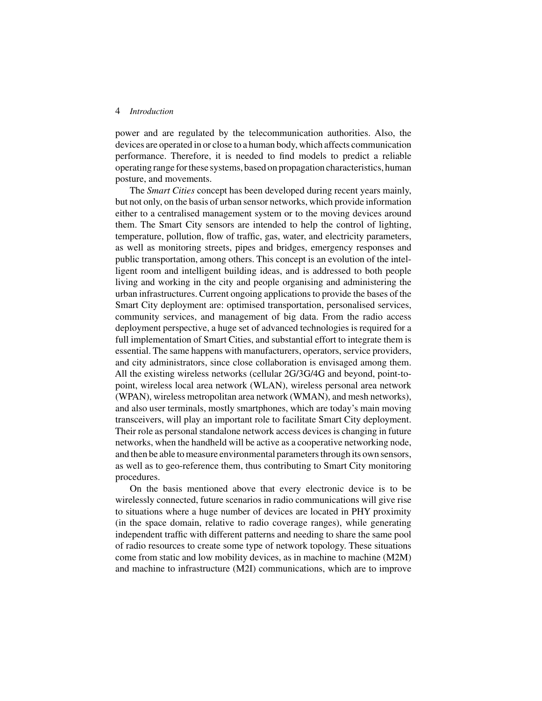power and are regulated by the telecommunication authorities. Also, the devices are operated in or close to a human body, which affects communication performance. Therefore, it is needed to find models to predict a reliable operating range for these systems, based on propagation characteristics, human posture, and movements.

The *Smart Cities* concept has been developed during recent years mainly, but not only, on the basis of urban sensor networks, which provide information either to a centralised management system or to the moving devices around them. The Smart City sensors are intended to help the control of lighting, temperature, pollution, flow of traffic, gas, water, and electricity parameters, as well as monitoring streets, pipes and bridges, emergency responses and public transportation, among others. This concept is an evolution of the intelligent room and intelligent building ideas, and is addressed to both people living and working in the city and people organising and administering the urban infrastructures. Current ongoing applications to provide the bases of the Smart City deployment are: optimised transportation, personalised services, community services, and management of big data. From the radio access deployment perspective, a huge set of advanced technologies is required for a full implementation of Smart Cities, and substantial effort to integrate them is essential. The same happens with manufacturers, operators, service providers, and city administrators, since close collaboration is envisaged among them. All the existing wireless networks (cellular 2G/3G/4G and beyond, point-topoint, wireless local area network (WLAN), wireless personal area network (WPAN), wireless metropolitan area network (WMAN), and mesh networks), and also user terminals, mostly smartphones, which are today's main moving transceivers, will play an important role to facilitate Smart City deployment. Their role as personal standalone network access devices is changing in future networks, when the handheld will be active as a cooperative networking node, and then be able to measure environmental parameters through its own sensors, as well as to geo-reference them, thus contributing to Smart City monitoring procedures.

On the basis mentioned above that every electronic device is to be wirelessly connected, future scenarios in radio communications will give rise to situations where a huge number of devices are located in PHY proximity (in the space domain, relative to radio coverage ranges), while generating independent traffic with different patterns and needing to share the same pool of radio resources to create some type of network topology. These situations come from static and low mobility devices, as in machine to machine (M2M) and machine to infrastructure (M2I) communications, which are to improve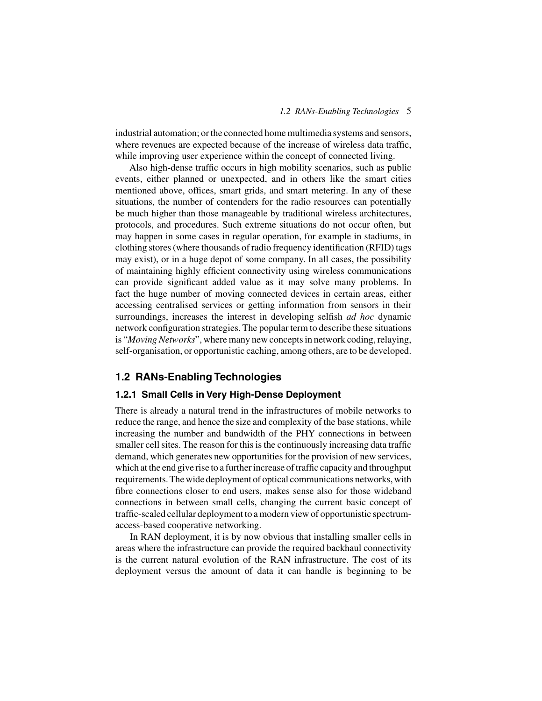industrial automation; or the connected home multimedia systems and sensors, where revenues are expected because of the increase of wireless data traffic, while improving user experience within the concept of connected living.

Also high-dense traffic occurs in high mobility scenarios, such as public events, either planned or unexpected, and in others like the smart cities mentioned above, offices, smart grids, and smart metering. In any of these situations, the number of contenders for the radio resources can potentially be much higher than those manageable by traditional wireless architectures, protocols, and procedures. Such extreme situations do not occur often, but may happen in some cases in regular operation, for example in stadiums, in clothing stores (where thousands of radio frequency identification (RFID) tags may exist), or in a huge depot of some company. In all cases, the possibility of maintaining highly efficient connectivity using wireless communications can provide significant added value as it may solve many problems. In fact the huge number of moving connected devices in certain areas, either accessing centralised services or getting information from sensors in their surroundings, increases the interest in developing selfish *ad hoc* dynamic network configuration strategies. The popular term to describe these situations is "*Moving Networks*", where many new concepts in network coding, relaying, self-organisation, or opportunistic caching, among others, are to be developed.

# **1.2 RANs-Enabling Technologies**

## **1.2.1 Small Cells in Very High-Dense Deployment**

There is already a natural trend in the infrastructures of mobile networks to reduce the range, and hence the size and complexity of the base stations, while increasing the number and bandwidth of the PHY connections in between smaller cell sites. The reason for this is the continuously increasing data traffic demand, which generates new opportunities for the provision of new services, which at the end give rise to a further increase of traffic capacity and throughput requirements. The wide deployment of optical communications networks, with fibre connections closer to end users, makes sense also for those wideband connections in between small cells, changing the current basic concept of traffic-scaled cellular deployment to a modern view of opportunistic spectrumaccess-based cooperative networking.

In RAN deployment, it is by now obvious that installing smaller cells in areas where the infrastructure can provide the required backhaul connectivity is the current natural evolution of the RAN infrastructure. The cost of its deployment versus the amount of data it can handle is beginning to be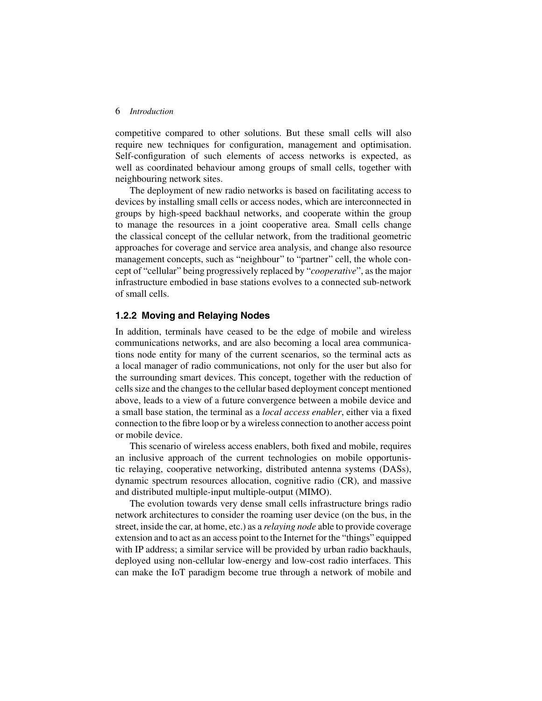competitive compared to other solutions. But these small cells will also require new techniques for configuration, management and optimisation. Self-configuration of such elements of access networks is expected, as well as coordinated behaviour among groups of small cells, together with neighbouring network sites.

The deployment of new radio networks is based on facilitating access to devices by installing small cells or access nodes, which are interconnected in groups by high-speed backhaul networks, and cooperate within the group to manage the resources in a joint cooperative area. Small cells change the classical concept of the cellular network, from the traditional geometric approaches for coverage and service area analysis, and change also resource management concepts, such as "neighbour" to "partner" cell, the whole concept of "cellular" being progressively replaced by "*cooperative*", as the major infrastructure embodied in base stations evolves to a connected sub-network of small cells.

## **1.2.2 Moving and Relaying Nodes**

In addition, terminals have ceased to be the edge of mobile and wireless communications networks, and are also becoming a local area communications node entity for many of the current scenarios, so the terminal acts as a local manager of radio communications, not only for the user but also for the surrounding smart devices. This concept, together with the reduction of cells size and the changes to the cellular based deployment concept mentioned above, leads to a view of a future convergence between a mobile device and a small base station, the terminal as a *local access enabler*, either via a fixed connection to the fibre loop or by a wireless connection to another access point or mobile device.

This scenario of wireless access enablers, both fixed and mobile, requires an inclusive approach of the current technologies on mobile opportunistic relaying, cooperative networking, distributed antenna systems (DASs), dynamic spectrum resources allocation, cognitive radio (CR), and massive and distributed multiple-input multiple-output (MIMO).

The evolution towards very dense small cells infrastructure brings radio network architectures to consider the roaming user device (on the bus, in the street, inside the car, at home, etc.) as a *relaying node* able to provide coverage extension and to act as an access point to the Internet for the "things" equipped with IP address; a similar service will be provided by urban radio backhauls, deployed using non-cellular low-energy and low-cost radio interfaces. This can make the IoT paradigm become true through a network of mobile and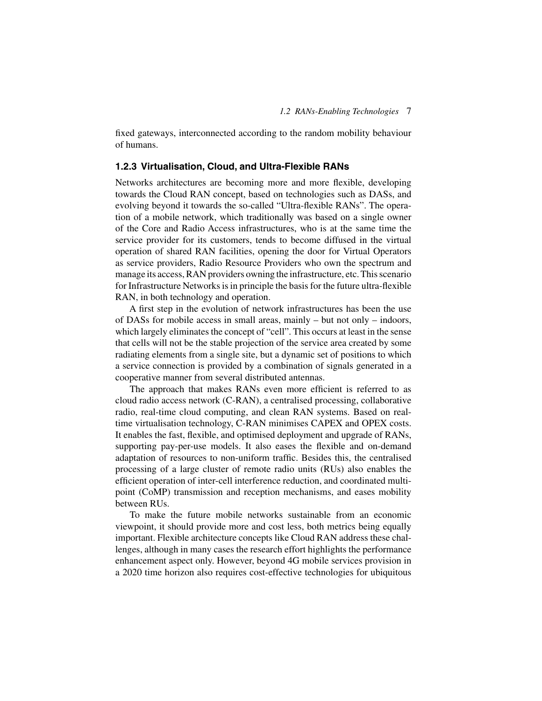fixed gateways, interconnected according to the random mobility behaviour of humans.

# **1.2.3 Virtualisation, Cloud, and Ultra-Flexible RANs**

Networks architectures are becoming more and more flexible, developing towards the Cloud RAN concept, based on technologies such as DASs, and evolving beyond it towards the so-called "Ultra-flexible RANs". The operation of a mobile network, which traditionally was based on a single owner of the Core and Radio Access infrastructures, who is at the same time the service provider for its customers, tends to become diffused in the virtual operation of shared RAN facilities, opening the door for Virtual Operators as service providers, Radio Resource Providers who own the spectrum and manage its access, RAN providers owning the infrastructure, etc. This scenario for Infrastructure Networks is in principle the basis for the future ultra-flexible RAN, in both technology and operation.

A first step in the evolution of network infrastructures has been the use of DASs for mobile access in small areas, mainly – but not only – indoors, which largely eliminates the concept of "cell". This occurs at least in the sense that cells will not be the stable projection of the service area created by some radiating elements from a single site, but a dynamic set of positions to which a service connection is provided by a combination of signals generated in a cooperative manner from several distributed antennas.

The approach that makes RANs even more efficient is referred to as cloud radio access network (C-RAN), a centralised processing, collaborative radio, real-time cloud computing, and clean RAN systems. Based on realtime virtualisation technology, C-RAN minimises CAPEX and OPEX costs. It enables the fast, flexible, and optimised deployment and upgrade of RANs, supporting pay-per-use models. It also eases the flexible and on-demand adaptation of resources to non-uniform traffic. Besides this, the centralised processing of a large cluster of remote radio units (RUs) also enables the efficient operation of inter-cell interference reduction, and coordinated multipoint (CoMP) transmission and reception mechanisms, and eases mobility between RUs.

To make the future mobile networks sustainable from an economic viewpoint, it should provide more and cost less, both metrics being equally important. Flexible architecture concepts like Cloud RAN address these challenges, although in many cases the research effort highlights the performance enhancement aspect only. However, beyond 4G mobile services provision in a 2020 time horizon also requires cost-effective technologies for ubiquitous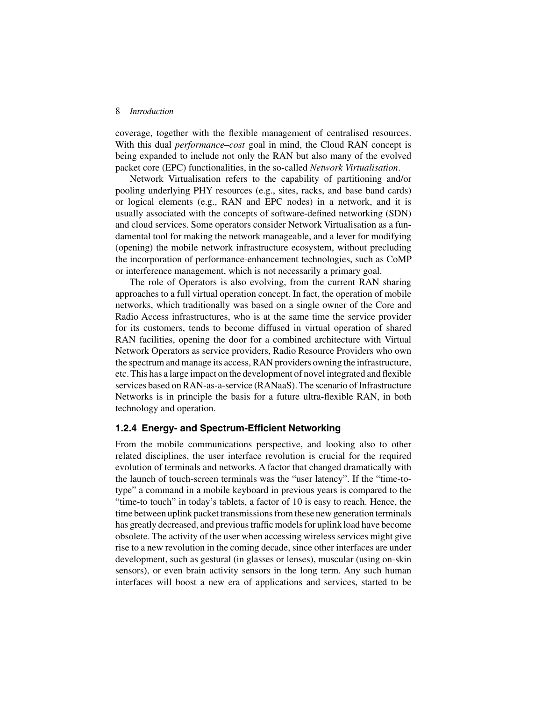coverage, together with the flexible management of centralised resources. With this dual *performance–cost* goal in mind, the Cloud RAN concept is being expanded to include not only the RAN but also many of the evolved packet core (EPC) functionalities, in the so-called *Network Virtualisation*.

Network Virtualisation refers to the capability of partitioning and/or pooling underlying PHY resources (e.g., sites, racks, and base band cards) or logical elements (e.g., RAN and EPC nodes) in a network, and it is usually associated with the concepts of software-defined networking (SDN) and cloud services. Some operators consider Network Virtualisation as a fundamental tool for making the network manageable, and a lever for modifying (opening) the mobile network infrastructure ecosystem, without precluding the incorporation of performance-enhancement technologies, such as CoMP or interference management, which is not necessarily a primary goal.

The role of Operators is also evolving, from the current RAN sharing approaches to a full virtual operation concept. In fact, the operation of mobile networks, which traditionally was based on a single owner of the Core and Radio Access infrastructures, who is at the same time the service provider for its customers, tends to become diffused in virtual operation of shared RAN facilities, opening the door for a combined architecture with Virtual Network Operators as service providers, Radio Resource Providers who own the spectrum and manage its access, RAN providers owning the infrastructure, etc. This has a large impact on the development of novel integrated and flexible services based on RAN-as-a-service (RANaaS). The scenario of Infrastructure Networks is in principle the basis for a future ultra-flexible RAN, in both technology and operation.

## **1.2.4 Energy- and Spectrum-Efficient Networking**

From the mobile communications perspective, and looking also to other related disciplines, the user interface revolution is crucial for the required evolution of terminals and networks. A factor that changed dramatically with the launch of touch-screen terminals was the "user latency". If the "time-totype" a command in a mobile keyboard in previous years is compared to the "time-to touch" in today's tablets, a factor of 10 is easy to reach. Hence, the time between uplink packet transmissions from these new generation terminals has greatly decreased, and previous traffic models for uplink load have become obsolete. The activity of the user when accessing wireless services might give rise to a new revolution in the coming decade, since other interfaces are under development, such as gestural (in glasses or lenses), muscular (using on-skin sensors), or even brain activity sensors in the long term. Any such human interfaces will boost a new era of applications and services, started to be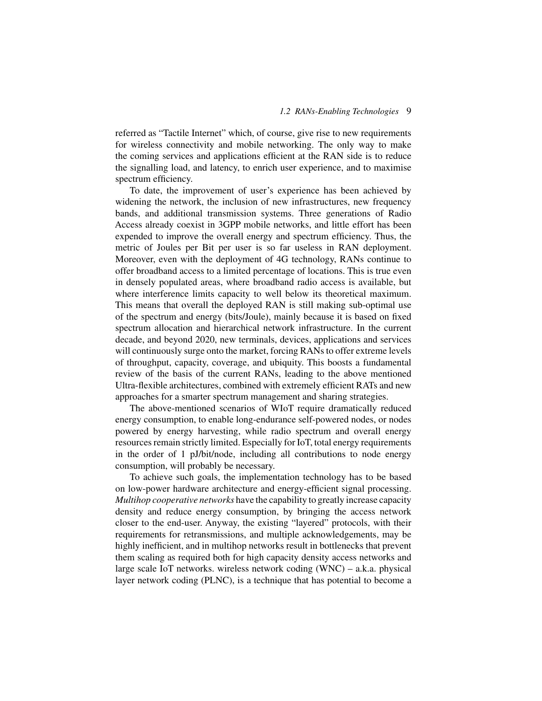referred as "Tactile Internet" which, of course, give rise to new requirements for wireless connectivity and mobile networking. The only way to make the coming services and applications efficient at the RAN side is to reduce the signalling load, and latency, to enrich user experience, and to maximise spectrum efficiency.

To date, the improvement of user's experience has been achieved by widening the network, the inclusion of new infrastructures, new frequency bands, and additional transmission systems. Three generations of Radio Access already coexist in 3GPP mobile networks, and little effort has been expended to improve the overall energy and spectrum efficiency. Thus, the metric of Joules per Bit per user is so far useless in RAN deployment. Moreover, even with the deployment of 4G technology, RANs continue to offer broadband access to a limited percentage of locations. This is true even in densely populated areas, where broadband radio access is available, but where interference limits capacity to well below its theoretical maximum. This means that overall the deployed RAN is still making sub-optimal use of the spectrum and energy (bits/Joule), mainly because it is based on fixed spectrum allocation and hierarchical network infrastructure. In the current decade, and beyond 2020, new terminals, devices, applications and services will continuously surge onto the market, forcing RANs to offer extreme levels of throughput, capacity, coverage, and ubiquity. This boosts a fundamental review of the basis of the current RANs, leading to the above mentioned Ultra-flexible architectures, combined with extremely efficient RATs and new approaches for a smarter spectrum management and sharing strategies.

The above-mentioned scenarios of WIoT require dramatically reduced energy consumption, to enable long-endurance self-powered nodes, or nodes powered by energy harvesting, while radio spectrum and overall energy resources remain strictly limited. Especially for IoT, total energy requirements in the order of 1 pJ/bit/node, including all contributions to node energy consumption, will probably be necessary.

To achieve such goals, the implementation technology has to be based on low-power hardware architecture and energy-efficient signal processing. *Multihop cooperative networks* have the capability to greatly increase capacity density and reduce energy consumption, by bringing the access network closer to the end-user. Anyway, the existing "layered" protocols, with their requirements for retransmissions, and multiple acknowledgements, may be highly inefficient, and in multihop networks result in bottlenecks that prevent them scaling as required both for high capacity density access networks and large scale IoT networks. wireless network coding (WNC) – a.k.a. physical layer network coding (PLNC), is a technique that has potential to become a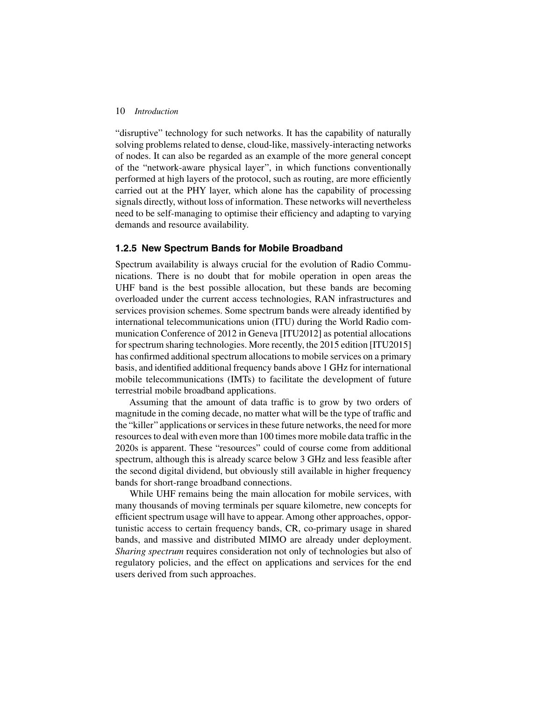"disruptive" technology for such networks. It has the capability of naturally solving problems related to dense, cloud-like, massively-interacting networks of nodes. It can also be regarded as an example of the more general concept of the "network-aware physical layer", in which functions conventionally performed at high layers of the protocol, such as routing, are more efficiently carried out at the PHY layer, which alone has the capability of processing signals directly, without loss of information. These networks will nevertheless need to be self-managing to optimise their efficiency and adapting to varying demands and resource availability.

## **1.2.5 New Spectrum Bands for Mobile Broadband**

Spectrum availability is always crucial for the evolution of Radio Communications. There is no doubt that for mobile operation in open areas the UHF band is the best possible allocation, but these bands are becoming overloaded under the current access technologies, RAN infrastructures and services provision schemes. Some spectrum bands were already identified by international telecommunications union (ITU) during the World Radio communication Conference of 2012 in Geneva [ITU2012] as potential allocations for spectrum sharing technologies. More recently, the 2015 edition [ITU2015] has confirmed additional spectrum allocations to mobile services on a primary basis, and identified additional frequency bands above 1 GHz for international mobile telecommunications (IMTs) to facilitate the development of future terrestrial mobile broadband applications.

Assuming that the amount of data traffic is to grow by two orders of magnitude in the coming decade, no matter what will be the type of traffic and the "killer" applications or services in these future networks, the need for more resources to deal with even more than 100 times more mobile data traffic in the 2020s is apparent. These "resources" could of course come from additional spectrum, although this is already scarce below 3 GHz and less feasible after the second digital dividend, but obviously still available in higher frequency bands for short-range broadband connections.

While UHF remains being the main allocation for mobile services, with many thousands of moving terminals per square kilometre, new concepts for efficient spectrum usage will have to appear. Among other approaches, opportunistic access to certain frequency bands, CR, co-primary usage in shared bands, and massive and distributed MIMO are already under deployment. *Sharing spectrum* requires consideration not only of technologies but also of regulatory policies, and the effect on applications and services for the end users derived from such approaches.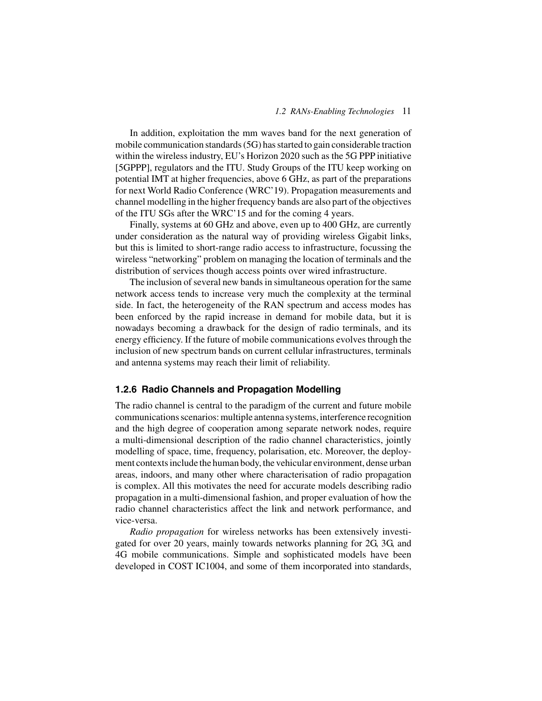In addition, exploitation the mm waves band for the next generation of mobile communication standards (5G) has started to gain considerable traction within the wireless industry, EU's Horizon 2020 such as the 5G PPP initiative [5GPPP], regulators and the ITU. Study Groups of the ITU keep working on potential IMT at higher frequencies, above 6 GHz, as part of the preparations for next World Radio Conference (WRC'19). Propagation measurements and channel modelling in the higher frequency bands are also part of the objectives of the ITU SGs after the WRC'15 and for the coming 4 years.

Finally, systems at 60 GHz and above, even up to 400 GHz, are currently under consideration as the natural way of providing wireless Gigabit links, but this is limited to short-range radio access to infrastructure, focussing the wireless "networking" problem on managing the location of terminals and the distribution of services though access points over wired infrastructure.

The inclusion of several new bands in simultaneous operation for the same network access tends to increase very much the complexity at the terminal side. In fact, the heterogeneity of the RAN spectrum and access modes has been enforced by the rapid increase in demand for mobile data, but it is nowadays becoming a drawback for the design of radio terminals, and its energy efficiency. If the future of mobile communications evolves through the inclusion of new spectrum bands on current cellular infrastructures, terminals and antenna systems may reach their limit of reliability.

## **1.2.6 Radio Channels and Propagation Modelling**

The radio channel is central to the paradigm of the current and future mobile communications scenarios: multiple antenna systems, interference recognition and the high degree of cooperation among separate network nodes, require a multi-dimensional description of the radio channel characteristics, jointly modelling of space, time, frequency, polarisation, etc. Moreover, the deployment contexts include the human body, the vehicular environment, dense urban areas, indoors, and many other where characterisation of radio propagation is complex. All this motivates the need for accurate models describing radio propagation in a multi-dimensional fashion, and proper evaluation of how the radio channel characteristics affect the link and network performance, and vice-versa.

*Radio propagation* for wireless networks has been extensively investigated for over 20 years, mainly towards networks planning for 2G, 3G, and 4G mobile communications. Simple and sophisticated models have been developed in COST IC1004, and some of them incorporated into standards,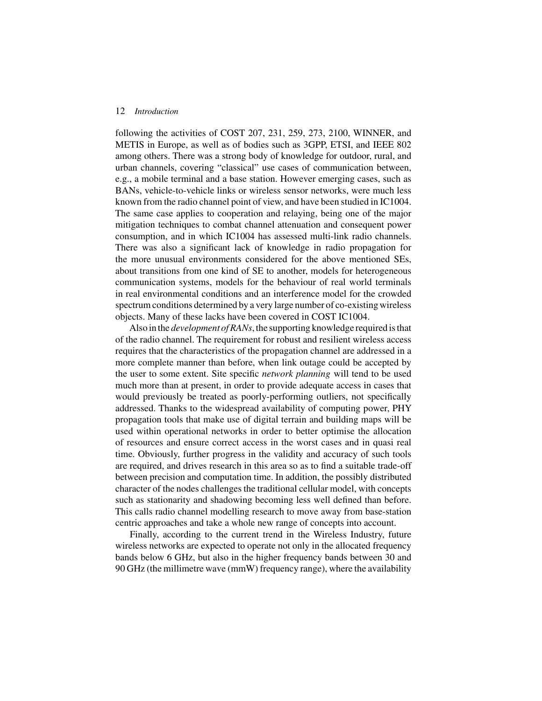following the activities of COST 207, 231, 259, 273, 2100, WINNER, and METIS in Europe, as well as of bodies such as 3GPP, ETSI, and IEEE 802 among others. There was a strong body of knowledge for outdoor, rural, and urban channels, covering "classical" use cases of communication between, e.g., a mobile terminal and a base station. However emerging cases, such as BANs, vehicle-to-vehicle links or wireless sensor networks, were much less known from the radio channel point of view, and have been studied in IC1004. The same case applies to cooperation and relaying, being one of the major mitigation techniques to combat channel attenuation and consequent power consumption, and in which IC1004 has assessed multi-link radio channels. There was also a significant lack of knowledge in radio propagation for the more unusual environments considered for the above mentioned SEs, about transitions from one kind of SE to another, models for heterogeneous communication systems, models for the behaviour of real world terminals in real environmental conditions and an interference model for the crowded spectrum conditions determined by a very large number of co-existing wireless objects. Many of these lacks have been covered in COST IC1004.

Also in the *development of RANs*, the supporting knowledge required is that of the radio channel. The requirement for robust and resilient wireless access requires that the characteristics of the propagation channel are addressed in a more complete manner than before, when link outage could be accepted by the user to some extent. Site specific *network planning* will tend to be used much more than at present, in order to provide adequate access in cases that would previously be treated as poorly-performing outliers, not specifically addressed. Thanks to the widespread availability of computing power, PHY propagation tools that make use of digital terrain and building maps will be used within operational networks in order to better optimise the allocation of resources and ensure correct access in the worst cases and in quasi real time. Obviously, further progress in the validity and accuracy of such tools are required, and drives research in this area so as to find a suitable trade-off between precision and computation time. In addition, the possibly distributed character of the nodes challenges the traditional cellular model, with concepts such as stationarity and shadowing becoming less well defined than before. This calls radio channel modelling research to move away from base-station centric approaches and take a whole new range of concepts into account.

Finally, according to the current trend in the Wireless Industry, future wireless networks are expected to operate not only in the allocated frequency bands below 6 GHz, but also in the higher frequency bands between 30 and 90 GHz (the millimetre wave (mmW) frequency range), where the availability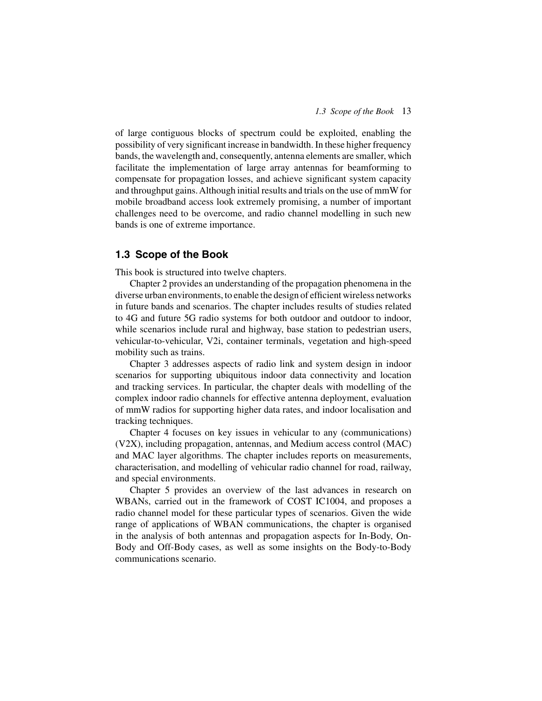of large contiguous blocks of spectrum could be exploited, enabling the possibility of very significant increase in bandwidth. In these higher frequency bands, the wavelength and, consequently, antenna elements are smaller, which facilitate the implementation of large array antennas for beamforming to compensate for propagation losses, and achieve significant system capacity and throughput gains. Although initial results and trials on the use of mmW for mobile broadband access look extremely promising, a number of important challenges need to be overcome, and radio channel modelling in such new bands is one of extreme importance.

# **1.3 Scope of the Book**

This book is structured into twelve chapters.

Chapter 2 provides an understanding of the propagation phenomena in the diverse urban environments, to enable the design of efficient wireless networks in future bands and scenarios. The chapter includes results of studies related to 4G and future 5G radio systems for both outdoor and outdoor to indoor, while scenarios include rural and highway, base station to pedestrian users, vehicular-to-vehicular, V2i, container terminals, vegetation and high-speed mobility such as trains.

Chapter 3 addresses aspects of radio link and system design in indoor scenarios for supporting ubiquitous indoor data connectivity and location and tracking services. In particular, the chapter deals with modelling of the complex indoor radio channels for effective antenna deployment, evaluation of mmW radios for supporting higher data rates, and indoor localisation and tracking techniques.

Chapter 4 focuses on key issues in vehicular to any (communications) (V2X), including propagation, antennas, and Medium access control (MAC) and MAC layer algorithms. The chapter includes reports on measurements, characterisation, and modelling of vehicular radio channel for road, railway, and special environments.

Chapter 5 provides an overview of the last advances in research on WBANs, carried out in the framework of COST IC1004, and proposes a radio channel model for these particular types of scenarios. Given the wide range of applications of WBAN communications, the chapter is organised in the analysis of both antennas and propagation aspects for In-Body, On-Body and Off-Body cases, as well as some insights on the Body-to-Body communications scenario.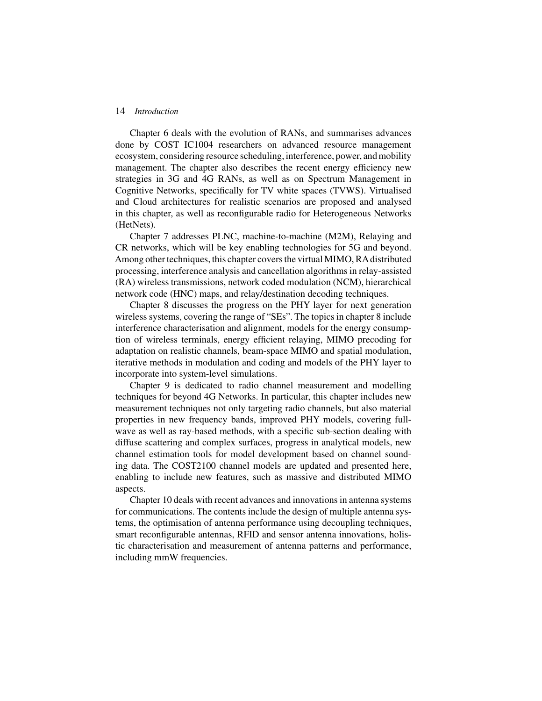Chapter 6 deals with the evolution of RANs, and summarises advances done by COST IC1004 researchers on advanced resource management ecosystem, considering resource scheduling, interference, power, and mobility management. The chapter also describes the recent energy efficiency new strategies in 3G and 4G RANs, as well as on Spectrum Management in Cognitive Networks, specifically for TV white spaces (TVWS). Virtualised and Cloud architectures for realistic scenarios are proposed and analysed in this chapter, as well as reconfigurable radio for Heterogeneous Networks (HetNets).

Chapter 7 addresses PLNC, machine-to-machine (M2M), Relaying and CR networks, which will be key enabling technologies for 5G and beyond. Among other techniques, this chapter covers the virtual MIMO, RA distributed processing, interference analysis and cancellation algorithms in relay-assisted (RA) wireless transmissions, network coded modulation (NCM), hierarchical network code (HNC) maps, and relay/destination decoding techniques.

Chapter 8 discusses the progress on the PHY layer for next generation wireless systems, covering the range of "SEs". The topics in chapter 8 include interference characterisation and alignment, models for the energy consumption of wireless terminals, energy efficient relaying, MIMO precoding for adaptation on realistic channels, beam-space MIMO and spatial modulation, iterative methods in modulation and coding and models of the PHY layer to incorporate into system-level simulations.

Chapter 9 is dedicated to radio channel measurement and modelling techniques for beyond 4G Networks. In particular, this chapter includes new measurement techniques not only targeting radio channels, but also material properties in new frequency bands, improved PHY models, covering fullwave as well as ray-based methods, with a specific sub-section dealing with diffuse scattering and complex surfaces, progress in analytical models, new channel estimation tools for model development based on channel sounding data. The COST2100 channel models are updated and presented here, enabling to include new features, such as massive and distributed MIMO aspects.

Chapter 10 deals with recent advances and innovations in antenna systems for communications. The contents include the design of multiple antenna systems, the optimisation of antenna performance using decoupling techniques, smart reconfigurable antennas, RFID and sensor antenna innovations, holistic characterisation and measurement of antenna patterns and performance, including mmW frequencies.